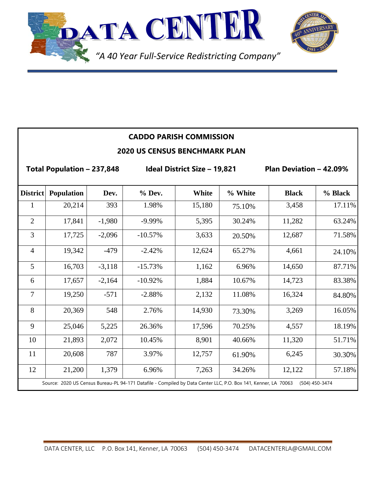



|                                      |                   |          | <b>CADDO PARISH COMMISSION</b>      |        |         |                                |         |  |  |
|--------------------------------------|-------------------|----------|-------------------------------------|--------|---------|--------------------------------|---------|--|--|
| <b>2020 US CENSUS BENCHMARK PLAN</b> |                   |          |                                     |        |         |                                |         |  |  |
| Total Population - 237,848           |                   |          | <b>Ideal District Size - 19,821</b> |        |         | <b>Plan Deviation - 42.09%</b> |         |  |  |
| <b>District</b>                      | <b>Population</b> | Dev.     | $%$ Dev.                            | White  | % White | <b>Black</b>                   | % Black |  |  |
| 1                                    | 20,214            | 393      | 1.98%                               | 15,180 | 75.10%  | 3,458                          | 17.11%  |  |  |
| $\overline{2}$                       | 17,841            | $-1,980$ | $-9.99%$                            | 5,395  | 30.24%  | 11,282                         | 63.24%  |  |  |
| 3                                    | 17,725            | $-2,096$ | $-10.57%$                           | 3,633  | 20.50%  | 12,687                         | 71.58%  |  |  |
| $\overline{4}$                       | 19,342            | $-479$   | $-2.42%$                            | 12,624 | 65.27%  | 4,661                          | 24.10%  |  |  |
| 5                                    | 16,703            | $-3,118$ | $-15.73%$                           | 1,162  | 6.96%   | 14,650                         | 87.71%  |  |  |
| 6                                    | 17,657            | $-2,164$ | $-10.92%$                           | 1,884  | 10.67%  | 14,723                         | 83.38%  |  |  |
| $\overline{7}$                       | 19,250            | $-571$   | $-2.88%$                            | 2,132  | 11.08%  | 16,324                         | 84.80%  |  |  |
| 8                                    | 20,369            | 548      | 2.76%                               | 14,930 | 73.30%  | 3,269                          | 16.05%  |  |  |
| 9                                    | 25,046            | 5,225    | 26.36%                              | 17,596 | 70.25%  | 4,557                          | 18.19%  |  |  |
| 10                                   | 21,893            | 2,072    | 10.45%                              | 8,901  | 40.66%  | 11,320                         | 51.71%  |  |  |
| 11                                   | 20,608            | 787      | 3.97%                               | 12,757 | 61.90%  | 6,245                          | 30.30%  |  |  |
| 12                                   | 21,200            | 1,379    | 6.96%                               | 7,263  | 34.26%  | 12,122                         | 57.18%  |  |  |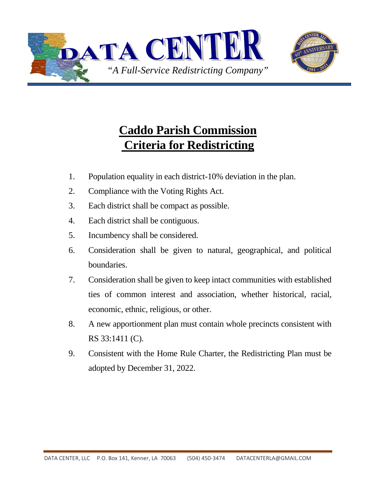



## **Caddo Parish Commission Criteria for Redistricting**

- 1. Population equality in each district-10% deviation in the plan.
- 2. Compliance with the Voting Rights Act.
- 3. Each district shall be compact as possible.
- 4. Each district shall be contiguous.
- 5. Incumbency shall be considered.
- 6. Consideration shall be given to natural, geographical, and political boundaries.
- 7. Consideration shall be given to keep intact communities with established ties of common interest and association, whether historical, racial, economic, ethnic, religious, or other.
- 8. A new apportionment plan must contain whole precincts consistent with RS 33:1411 (C).
- 9. Consistent with the Home Rule Charter, the Redistricting Plan must be adopted by December 31, 2022.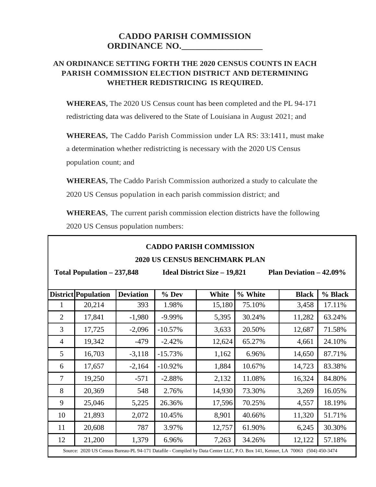## **CADDO PARISH COMMISSION ORDINANCE NO.\_\_\_\_\_\_\_\_\_\_\_\_\_\_\_\_\_\_**

## **AN ORDINANCE SETTING FORTH THE 2020 CENSUS COUNTS IN EACH PARISH COMMISSION ELECTION DISTRICT AND DETERMINING WHETHER REDISTRICING IS REQUIRED.**

**WHEREAS,** The 2020 US Census count has been completed and the PL 94-171 redistricting data was delivered to the State of Louisiana in August 2021; and

**WHEREAS,** The Caddo Parish Commission under LA RS: 33:1411, must make a determination whether redistricting is necessary with the 2020 US Census population count; and

**WHEREAS,** The Caddo Parish Commission authorized a study to calculate the 2020 US Census population in each parish commission district; and

**WHEREAS,** The current parish commission election districts have the following 2020 US Census population numbers:

| <b>CADDO PARISH COMMISSION</b> |  |
|--------------------------------|--|
|                                |  |

## **2020 US CENSUS BENCHMARK PLAN**

**Total Population – 237,848 Ideal District Size – 19,821 Plan Deviation – 42.09% District Population Deviation % Dev White % White Black % Black** 1 20,214 393 1.98% 15,180 75.10% 3,458 17.11% 2 17,841 -1,980 -9.99% 5,395 30.24% 11,282 63.24% 3 17,725 -2,096 -10.57% 3,633 20.50% 12,687 71.58% 4 | 19,342 | -479 | -2.42% | 12,624 | 65.27% | 4,661 | 24.10% 5 16,703 -3,118 -15.73% 1,162 6.96% 14,650 87.71% 6 17,657 -2,164 -10.92% 1,884 10.67% 14,723 83.38% 7 | 19,250 | -571 | -2.88% | 2,132 | 11.08% | 16,324 | 84.80% 8 20,369 548 2.76% 14,930 73.30% 3,269 16.05% 9 25,046 5,225 26.36% 17,596 70.25% 4,557 18.19% 10 | 21,893 | 2,072 | 10.45% | 8,901 | 40.66% | 11,320 | 51.71% 11 20,608 787 3.97% 12,757 61.90% 6,245 30.30% 12 21,200 1,379 6.96% 7,263 34.26% 12,122 57.18% Source: 2020 US Census Bureau-PL 94-171 Datafile - Compiled by Data Center LLC, P.O. Box 141, Kenner, LA 70063 (504) 450-3474